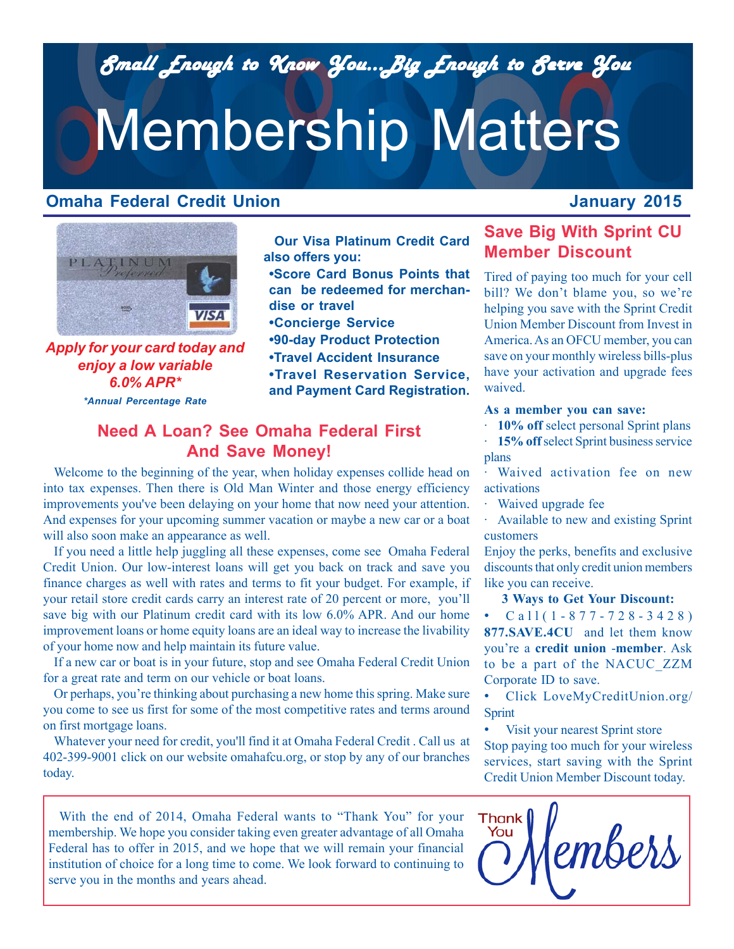*Small Enough to Know You...Big Enough to Serve You Small Enough to Know You...Big Enough to Serve You*

# Membership Matters

### **Omaha Federal Credit Union**

## **January 2015**



*Apply for your card today and enjoy a low variable 6.0% APR\* \*Annual Percentage Rate*

**Our Visa Platinum Credit Card also offers you:**

**•Score Card Bonus Points that can be redeemed for merchandise or travel**

**•Concierge Service**

**•90-day Product Protection**

**•Travel Accident Insurance**

**•Travel Reservation Service, and Payment Card Registration.**

## **Need A Loan? See Omaha Federal First And Save Money!**

Welcome to the beginning of the year, when holiday expenses collide head on into tax expenses. Then there is Old Man Winter and those energy efficiency improvements you've been delaying on your home that now need your attention. And expenses for your upcoming summer vacation or maybe a new car or a boat will also soon make an appearance as well.

If you need a little help juggling all these expenses, come see Omaha Federal Credit Union. Our low-interest loans will get you back on track and save you finance charges as well with rates and terms to fit your budget. For example, if your retail store credit cards carry an interest rate of 20 percent or more, you'll save big with our Platinum credit card with its low 6.0% APR. And our home improvement loans or home equity loans are an ideal way to increase the livability of your home now and help maintain its future value.

If a new car or boat is in your future, stop and see Omaha Federal Credit Union for a great rate and term on our vehicle or boat loans.

Or perhaps, you're thinking about purchasing a new home this spring. Make sure you come to see us first for some of the most competitive rates and terms around on first mortgage loans.

*Gift Giving The Easy* 402-399-9001 click on our website omahafcu.org, or stop by any of our branches Whatever your need for credit, you'll find it at Omaha Federal Credit . Call us at today.

With the end of 2014, Omaha Federal wants to "Thank You" for your membership. We hope you consider taking even greater advantage of all Omaha Federal has to offer in 2015, and we hope that we will remain your financial institution of choice for a long time to come. We look forward to continuing to serve you in the months and years ahead.

## **Save Big With Sprint CU Member Discount**

Tired of paying too much for your cell bill? We don't blame you, so we're helping you save with the Sprint Credit Union Member Discount from Invest in America. As an OFCU member, you can save on your monthly wireless bills-plus have your activation and upgrade fees waived.

#### **As a member you can save:**

· **10% off** select personal Sprint plans

15% off select Sprint business service plans

Waived activation fee on new activations

Waived upgrade fee

· Available to new and existing Sprint customers

Enjoy the perks, benefits and exclusive discounts that only credit union members like you can receive.

#### **3 Ways to Get Your Discount:**

• Call(1-877-728-3428) **877.SAVE.4CU** and let them know you're a **credit union** -**member**. Ask to be a part of the NACUC\_ZZM Corporate ID to save.

• Click LoveMyCreditUnion.org/ Sprint

Visit your nearest Sprint store Stop paying too much for your wireless services, start saving with the Sprint Credit Union Member Discount today.